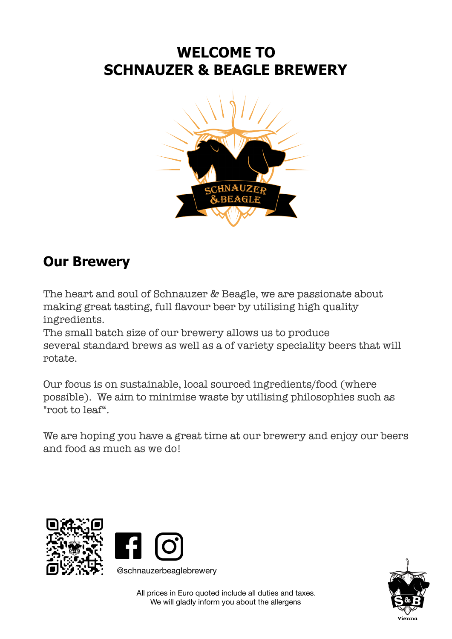## **WELCOME TO SCHNAUZER & BEAGLE BREWERY**



## **Our Brewery**

The heart and soul of Schnauzer & Beagle, we are passionate about making great tasting, full flavour beer by utilising high quality ingredients.

The small batch size of our brewery allows us to produce several standard brews as well as a of variety speciality beers that will rotate.

Our focus is on sustainable, local sourced ingredients/food (where possible). We aim to minimise waste by utilising philosophies such as "root to leaf".

We are hoping you have a great time at our brewery and enjoy our beers and food as much as we do!





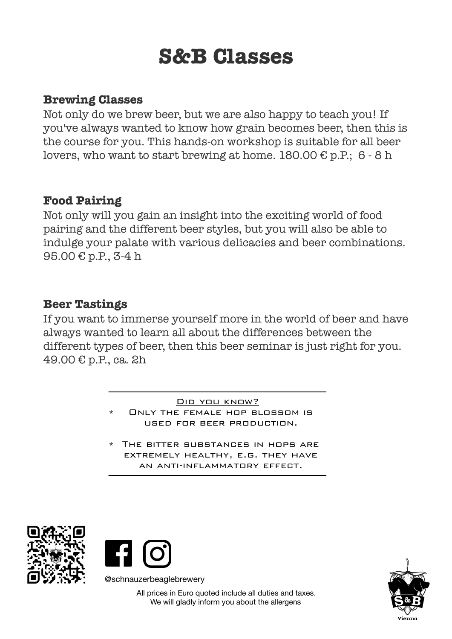# **S&B Classes**

### **Brewing Classes**

Not only do we brew beer, but we are also happy to teach you! If you've always wanted to know how grain becomes beer, then this is the course for you. This hands-on workshop is suitable for all beer lovers, who want to start brewing at home.  $180.00 \text{ } \in \text{p.P.}; 6 - 8 \text{ h}$ 

### **Food Pairing**

Not only will you gain an insight into the exciting world of food pairing and the different beer styles, but you will also be able to indulge your palate with various delicacies and beer combinations. 95.00 € p.P., 3-4 h

### **Beer Tastings**

If you want to immerse yourself more in the world of beer and have always wanted to learn all about the differences between the different types of beer, then this beer seminar is just right for you. 49.00 € p.P., ca. 2h

> DID YOU KNOW? ONLY THE FEMALE HOP BLOSSOM IS used for beer production.

\* The bitter substances in hops are extremely healthy, e.g. they have an anti-inflammatory effect.





@schnauzerbeaglebrewery

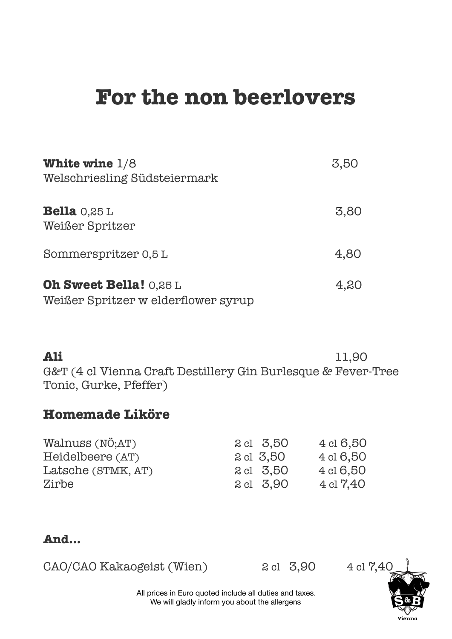# **For the non beerlovers**

| White wine $1/8$<br>Welschriesling Südsteiermark                     | 3,50 |
|----------------------------------------------------------------------|------|
| <b>Bella</b> $0,25$ L<br><b>Weißer Spritzer</b>                      | 3,80 |
| Sommerspritzer 0,5 L                                                 | 4,80 |
| <b>Oh Sweet Bella! 0,25 L</b><br>Weißer Spritzer w elderflower syrup | 4,20 |

**Ali** 11,90 G&T (4 cl Vienna Craft Destillery Gin Burlesque & Fever-Tree Tonic, Gurke, Pfeffer)

## **Homemade Liköre**

| Walnuss (NÖ;AT)    | 2 cl 3,50 | 4 cl 6,50            |
|--------------------|-----------|----------------------|
| Heidelbeere (AT)   | 2 cl 3,50 | 4 cl 6,50            |
| Latsche (STMK, AT) | 2 cl 3,50 | 4 cl 6,50            |
| Zirbe              | 2 cl 3,90 | $4 \text{ cl } 7,40$ |

### **And…**

| CAO/CAO Kakaogeist (Wien)<br>$2 \text{ cl } 3,9$ |  |
|--------------------------------------------------|--|
|--------------------------------------------------|--|

 $0 \t 4 \t 17,40$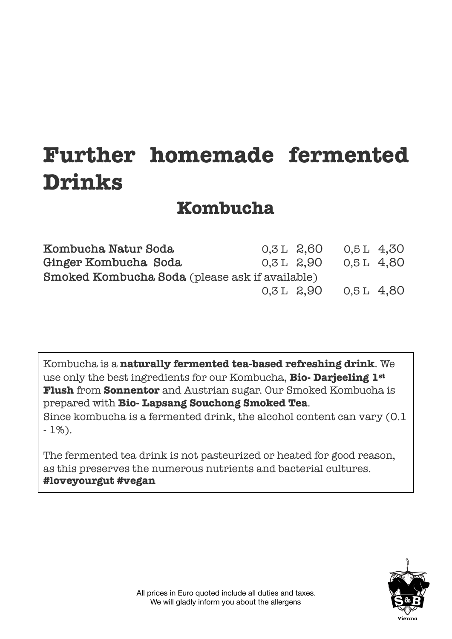# **Further homemade fermented Drinks**

## **Kombucha**

| Kombucha Natur Soda                                   | 0,3 L 2,60   |                | 0,5L 4,30 |  |
|-------------------------------------------------------|--------------|----------------|-----------|--|
| Ginger Kombucha Soda                                  | $0.3 L$ 2.90 |                | 0.5L 4.80 |  |
| <b>Smoked Kombucha Soda</b> (please ask if available) |              |                |           |  |
|                                                       |              | $0.3 L$ $2.90$ | 0.5L 4.80 |  |

Kombucha is a **naturally fermented tea-based refreshing drink**. We use only the best ingredients for our Kombucha, **Bio- Darjeeling 1st Flush** from **Sonnentor** and Austrian sugar. Our Smoked Kombucha is prepared with **Bio- Lapsang Souchong Smoked Tea**. Since kombucha is a fermented drink, the alcohol content can vary (0.1 - 1%).

The fermented tea drink is not pasteurized or heated for good reason, as this preserves the numerous nutrients and bacterial cultures. **#loveyourgut #vegan** 

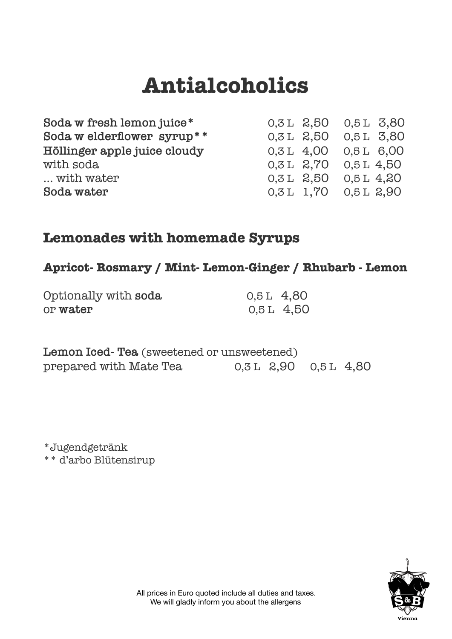# **Antialcoholics**

| Soda w fresh lemon juice*    |             | $0.3 L$ $2.50$ $0.5 L$ $3.80$ |              |  |
|------------------------------|-------------|-------------------------------|--------------|--|
| Soda w elderflower syrup**   |             | $0,3$ L $2,50$ $0,5$ L $3,80$ |              |  |
| Höllinger apple juice cloudy |             | $0.3 L$ 4,00 $0.5 L$ 6,00     |              |  |
| with soda                    |             | $0.3 L$ $2.70$ $0.5 L$ $4.50$ |              |  |
| with water                   | $0,3L$ 2,50 |                               | $0.5 L$ 4.20 |  |
| Soda water                   |             | $0.3 L$ 1.70 $0.5 L$ 2.90     |              |  |

## **Lemonades with homemade Syrups**

### **Apricot- Rosmary / Mint- Lemon-Ginger / Rhubarb - Lemon**

| Optionally with soda | $0.5L$ 4.80 |            |
|----------------------|-------------|------------|
| or water             |             | 0,5 L 4,50 |

| <b>Lemon Iced-Tea</b> (sweetened or unsweetened) |                             |  |
|--------------------------------------------------|-----------------------------|--|
| prepared with Mate Tea                           | $0.3L$ $2.90$ $0.5L$ $4.80$ |  |

\*Jugendgetränk \*\* d'arbo Blütensirup

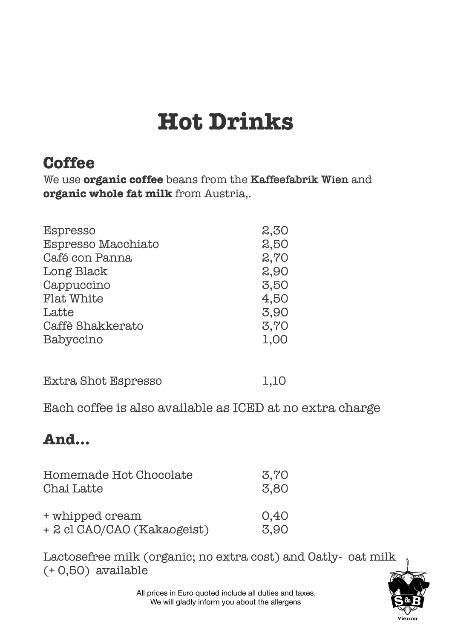# **Hot Drinks**

## **Coffee**

We use **organic coffee** beans from the **Kaffeefabrik Wien** and **organic whole fat milk** from Austria,.

| <b>Espresso</b>           | 2,30 |
|---------------------------|------|
| <b>Espresso Macchiato</b> | 2,50 |
| Café con Panna            | 2,70 |
| Long Black                | 2,90 |
| Cappuccino                | 3,50 |
| <b>Flat White</b>         | 4,50 |
| Latte                     | 3,90 |
| Caffè Shakkerato          | 3,70 |
| Babyccino                 | 1,00 |
|                           |      |

| Extra Shot Espresso | 1,10 |  |
|---------------------|------|--|
|                     |      |  |

Each coffee is also available as ICED at no extra charge 

## **And…**

| Homemade Hot Chocolate      | 3,70 |
|-----------------------------|------|
| Chai Latte                  | 3,80 |
| + whipped cream             | 0,40 |
| + 2 cl CAO/CAO (Kakaogeist) | 3,90 |

Lactosefree milk (organic; no extra cost) and Oatly- oat milk (+ 0,50) available

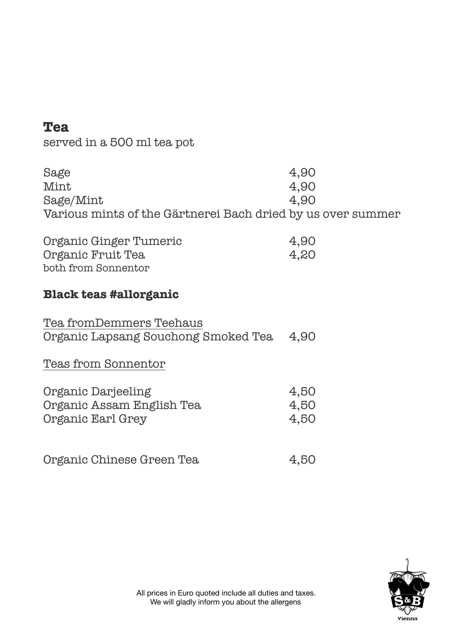## **Tea**

served in a 500 ml tea pot

| Sage                                                        | 4,90 |
|-------------------------------------------------------------|------|
| Mint                                                        | 4,90 |
| Sage/Mint                                                   | 4.90 |
| Various mints of the Gärtnerei Bach dried by us over summer |      |

| Organic Ginger Tumeric | 4,90 |
|------------------------|------|
| Organic Fruit Tea      | 4,20 |
| both from Sonnentor    |      |

## **Black teas #allorganic**

| Tea fromDemmers Teehaus                  |  |
|------------------------------------------|--|
| Organic Lapsang Souchong Smoked Tea 4,90 |  |

Teas from Sonnentor

| Organic Darjeeling        | 4.50 |
|---------------------------|------|
| Organic Assam English Tea | 4,50 |
| Organic Earl Grey         | 4.50 |

| 4,50 |
|------|
|      |

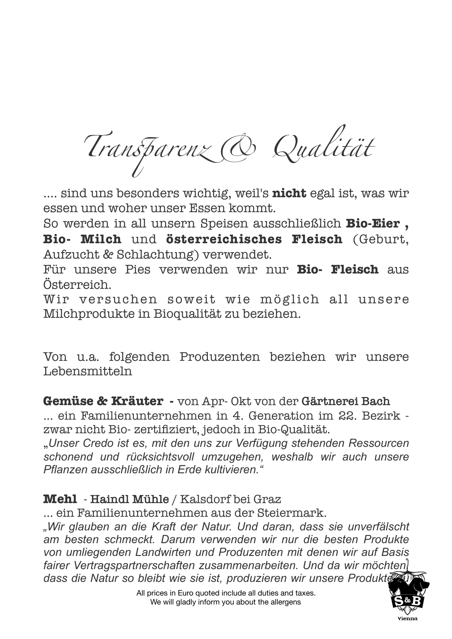*Tran*s*arenz & Qualität*

…. sind uns besonders wichtig, weil's **nicht** egal ist, was wir essen und woher unser Essen kommt.

So werden in all unsern Speisen ausschließlich **Bio-Eier , Bio- Milch** und **österreichisches Fleisch** (Geburt, Aufzucht & Schlachtung) verwendet.

Für unsere Pies verwenden wir nur **Bio- Fleisch** aus Österreich.

Wir versuchen soweit wie möglich all unsere Milchprodukte in Bioqualität zu beziehen.

Von u.a. folgenden Produzenten beziehen wir unsere Lebensmitteln

**Gemüse & Kräuter -** von Apr- Okt von der **Gärtnerei Bach**

… ein Familienunternehmen in 4. Generation im 22. Bezirk zwar nicht Bio- zertifiziert, jedoch in Bio-Qualität.

"*Unser Credo ist es, mit den uns zur Verfügung stehenden Ressourcen schonend und rücksichtsvoll umzugehen, weshalb wir auch unsere Pflanzen ausschließlich in Erde kultivieren."*

## **Mehl** - **Haindl Mühle** / Kalsdorf bei Graz

… ein Familienunternehmen aus der Steiermark.

*"Wir glauben an die Kraft der Natur. Und daran, dass sie unverfälscht am besten schmeckt. Darum verwenden wir nur die besten Produkte von umliegenden Landwirten und Produzenten mit denen wir auf Basis*  fairer Vertragspartnerschaften zusammenarbeiten. Und da wir möchten dass die Natur so bleibt wie sie ist, produzieren wir unsere Produkte

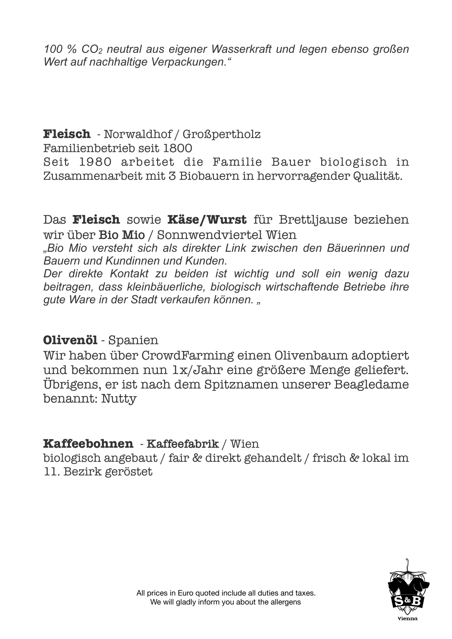*100 % CO2 neutral aus eigener Wasserkraft und legen ebenso großen Wert auf nachhaltige Verpackungen."* 

#### **Fleisch** - Norwaldhof / Großpertholz Familienbetrieb seit 1800

Seit 1980 arbeitet die Familie Bauer biologisch in Zusammenarbeit mit 3 Biobauern in hervorragender Qualität.

Das **Fleisch** sowie **Käse/Wurst** für Brettljause beziehen wir über **Bio Mio** / Sonnwendviertel Wien

*"Bio Mio versteht sich als direkter Link zwischen den Bäuerinnen und Bauern und Kundinnen und Kunden.* 

*Der direkte Kontakt zu beiden ist wichtig und soll ein wenig dazu beitragen, dass kleinbäuerliche, biologisch wirtschaftende Betriebe ihre gute Ware in der Stadt verkaufen können. "* 

## **Olivenöl** - Spanien

Wir haben über CrowdFarming einen Olivenbaum adoptiert und bekommen nun 1x/Jahr eine größere Menge geliefert. Übrigens, er ist nach dem Spitznamen unserer Beagledame benannt: Nutty

## **Kaffeebohnen** - **Kaffeefabrik** / Wien

biologisch angebaut / fair & direkt gehandelt / frisch & lokal im 11. Bezirk geröstet